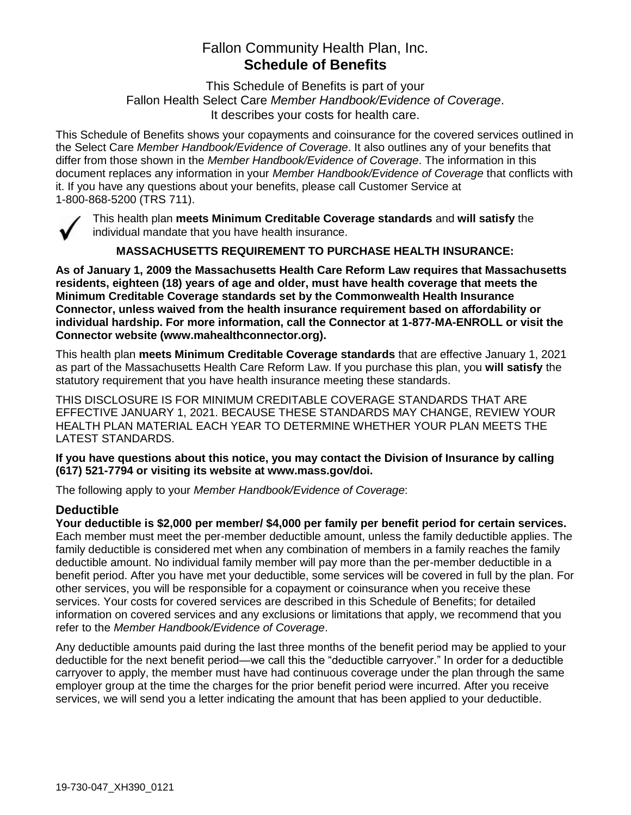# Fallon Community Health Plan, Inc. **Schedule of Benefits**

This Schedule of Benefits is part of your Fallon Health Select Care *Member Handbook/Evidence of Coverage*. It describes your costs for health care.

This Schedule of Benefits shows your copayments and coinsurance for the covered services outlined in the Select Care *Member Handbook/Evidence of Coverage*. It also outlines any of your benefits that differ from those shown in the *Member Handbook/Evidence of Coverage*. The information in this document replaces any information in your *Member Handbook/Evidence of Coverage* that conflicts with it. If you have any questions about your benefits, please call Customer Service at 1-800-868-5200 (TRS 711).



This health plan **meets Minimum Creditable Coverage standards** and **will satisfy** the individual mandate that you have health insurance.

**MASSACHUSETTS REQUIREMENT TO PURCHASE HEALTH INSURANCE:**

**As of January 1, 2009 the Massachusetts Health Care Reform Law requires that Massachusetts residents, eighteen (18) years of age and older, must have health coverage that meets the Minimum Creditable Coverage standards set by the Commonwealth Health Insurance Connector, unless waived from the health insurance requirement based on affordability or individual hardship. For more information, call the Connector at 1-877-MA-ENROLL or visit the Connector website (www.mahealthconnector.org).**

This health plan **meets Minimum Creditable Coverage standards** that are effective January 1, 2021 as part of the Massachusetts Health Care Reform Law. If you purchase this plan, you **will satisfy** the statutory requirement that you have health insurance meeting these standards.

THIS DISCLOSURE IS FOR MINIMUM CREDITABLE COVERAGE STANDARDS THAT ARE EFFECTIVE JANUARY 1, 2021. BECAUSE THESE STANDARDS MAY CHANGE, REVIEW YOUR HEALTH PLAN MATERIAL EACH YEAR TO DETERMINE WHETHER YOUR PLAN MEETS THE LATEST STANDARDS.

**If you have questions about this notice, you may contact the Division of Insurance by calling (617) 521-7794 or visiting its website at www.mass.gov/doi.** 

The following apply to your *Member Handbook/Evidence of Coverage*:

### **Deductible**

**Your deductible is \$2,000 per member/ \$4,000 per family per benefit period for certain services.** Each member must meet the per-member deductible amount, unless the family deductible applies. The family deductible is considered met when any combination of members in a family reaches the family deductible amount. No individual family member will pay more than the per-member deductible in a benefit period. After you have met your deductible, some services will be covered in full by the plan. For other services, you will be responsible for a copayment or coinsurance when you receive these services. Your costs for covered services are described in this Schedule of Benefits; for detailed information on covered services and any exclusions or limitations that apply, we recommend that you refer to the *Member Handbook/Evidence of Coverage*.

Any deductible amounts paid during the last three months of the benefit period may be applied to your deductible for the next benefit period—we call this the "deductible carryover." In order for a deductible carryover to apply, the member must have had continuous coverage under the plan through the same employer group at the time the charges for the prior benefit period were incurred. After you receive services, we will send you a letter indicating the amount that has been applied to your deductible.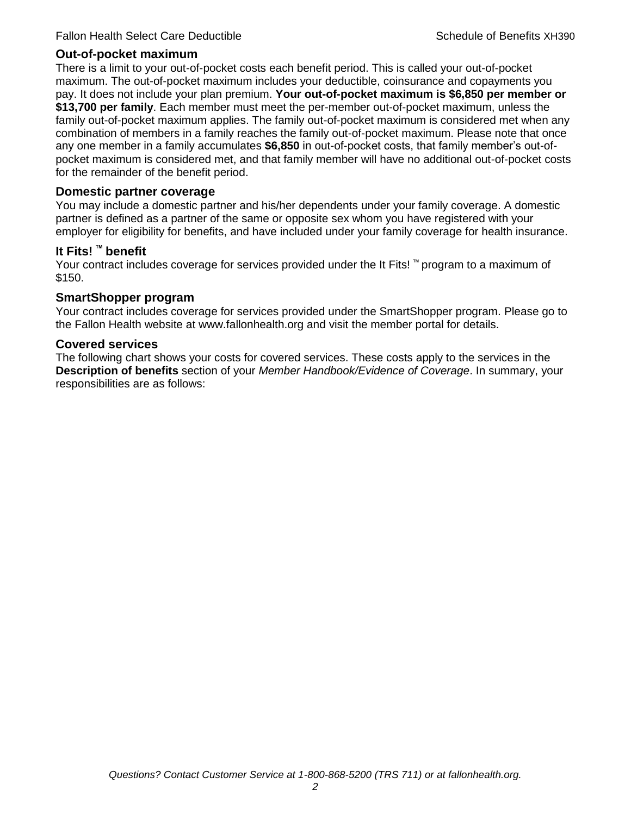### **Out-of-pocket maximum**

There is a limit to your out-of-pocket costs each benefit period. This is called your out-of-pocket maximum. The out-of-pocket maximum includes your deductible, coinsurance and copayments you pay. It does not include your plan premium. **Your out-of-pocket maximum is \$6,850 per member or \$13,700 per family**. Each member must meet the per-member out-of-pocket maximum, unless the family out-of-pocket maximum applies. The family out-of-pocket maximum is considered met when any combination of members in a family reaches the family out-of-pocket maximum. Please note that once any one member in a family accumulates **\$6,850** in out-of-pocket costs, that family member's out-ofpocket maximum is considered met, and that family member will have no additional out-of-pocket costs for the remainder of the benefit period.

### **Domestic partner coverage**

You may include a domestic partner and his/her dependents under your family coverage. A domestic partner is defined as a partner of the same or opposite sex whom you have registered with your employer for eligibility for benefits, and have included under your family coverage for health insurance.

### **It Fits! ™ benefit**

Your contract includes coverage for services provided under the It Fits! ™ program to a maximum of \$150.

### **SmartShopper program**

Your contract includes coverage for services provided under the SmartShopper program. Please go to the Fallon Health website at www.fallonhealth.org and visit the member portal for details.

### **Covered services**

The following chart shows your costs for covered services. These costs apply to the services in the **Description of benefits** section of your *Member Handbook/Evidence of Coverage*. In summary, your responsibilities are as follows: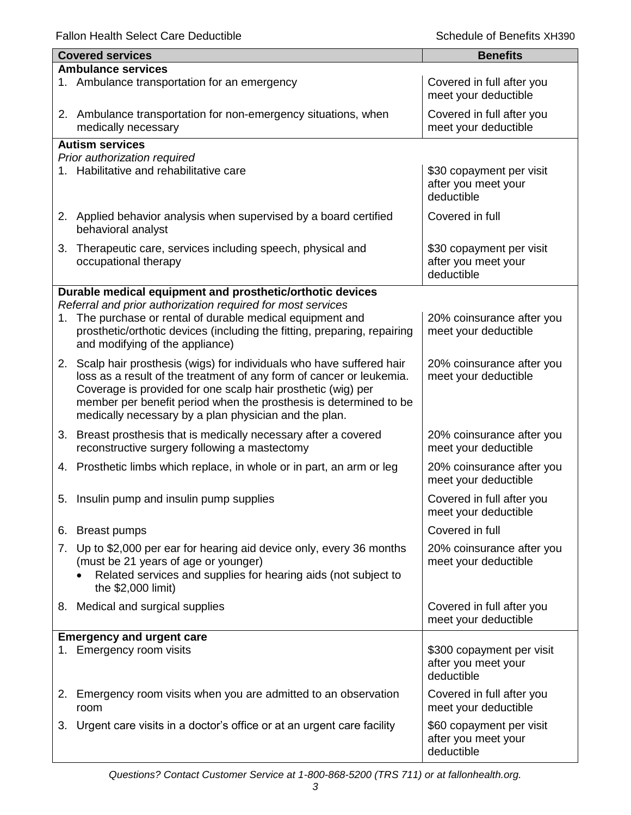|                           | <b>Covered services</b>                                                                                                                                                                                                                                                                                                                      | <b>Benefits</b>                                                |  |
|---------------------------|----------------------------------------------------------------------------------------------------------------------------------------------------------------------------------------------------------------------------------------------------------------------------------------------------------------------------------------------|----------------------------------------------------------------|--|
| <b>Ambulance services</b> |                                                                                                                                                                                                                                                                                                                                              |                                                                |  |
|                           | 1. Ambulance transportation for an emergency                                                                                                                                                                                                                                                                                                 | Covered in full after you<br>meet your deductible              |  |
|                           | 2. Ambulance transportation for non-emergency situations, when<br>medically necessary                                                                                                                                                                                                                                                        | Covered in full after you<br>meet your deductible              |  |
|                           | <b>Autism services</b>                                                                                                                                                                                                                                                                                                                       |                                                                |  |
|                           | Prior authorization required                                                                                                                                                                                                                                                                                                                 |                                                                |  |
|                           | 1. Habilitative and rehabilitative care                                                                                                                                                                                                                                                                                                      | \$30 copayment per visit<br>after you meet your<br>deductible  |  |
|                           | 2. Applied behavior analysis when supervised by a board certified<br>behavioral analyst                                                                                                                                                                                                                                                      | Covered in full                                                |  |
| 3.                        | Therapeutic care, services including speech, physical and<br>occupational therapy                                                                                                                                                                                                                                                            | \$30 copayment per visit<br>after you meet your<br>deductible  |  |
|                           | Durable medical equipment and prosthetic/orthotic devices                                                                                                                                                                                                                                                                                    |                                                                |  |
|                           | Referral and prior authorization required for most services                                                                                                                                                                                                                                                                                  |                                                                |  |
| 1.                        | The purchase or rental of durable medical equipment and<br>prosthetic/orthotic devices (including the fitting, preparing, repairing<br>and modifying of the appliance)                                                                                                                                                                       | 20% coinsurance after you<br>meet your deductible              |  |
|                           | 2. Scalp hair prosthesis (wigs) for individuals who have suffered hair<br>loss as a result of the treatment of any form of cancer or leukemia.<br>Coverage is provided for one scalp hair prosthetic (wig) per<br>member per benefit period when the prosthesis is determined to be<br>medically necessary by a plan physician and the plan. | 20% coinsurance after you<br>meet your deductible              |  |
| 3.                        | Breast prosthesis that is medically necessary after a covered<br>reconstructive surgery following a mastectomy                                                                                                                                                                                                                               | 20% coinsurance after you<br>meet your deductible              |  |
|                           | 4. Prosthetic limbs which replace, in whole or in part, an arm or leg                                                                                                                                                                                                                                                                        | 20% coinsurance after you<br>meet your deductible              |  |
|                           | 5. Insulin pump and insulin pump supplies                                                                                                                                                                                                                                                                                                    | Covered in full after you<br>meet your deductible              |  |
| 6.                        | <b>Breast pumps</b>                                                                                                                                                                                                                                                                                                                          | Covered in full                                                |  |
| 7.                        | Up to \$2,000 per ear for hearing aid device only, every 36 months<br>(must be 21 years of age or younger)<br>Related services and supplies for hearing aids (not subject to<br>the \$2,000 limit)                                                                                                                                           | 20% coinsurance after you<br>meet your deductible              |  |
|                           | 8. Medical and surgical supplies                                                                                                                                                                                                                                                                                                             | Covered in full after you<br>meet your deductible              |  |
|                           | <b>Emergency and urgent care</b>                                                                                                                                                                                                                                                                                                             |                                                                |  |
|                           | 1. Emergency room visits                                                                                                                                                                                                                                                                                                                     | \$300 copayment per visit<br>after you meet your<br>deductible |  |
| 2.                        | Emergency room visits when you are admitted to an observation<br>room                                                                                                                                                                                                                                                                        | Covered in full after you<br>meet your deductible              |  |
| 3.                        | Urgent care visits in a doctor's office or at an urgent care facility                                                                                                                                                                                                                                                                        | \$60 copayment per visit<br>after you meet your<br>deductible  |  |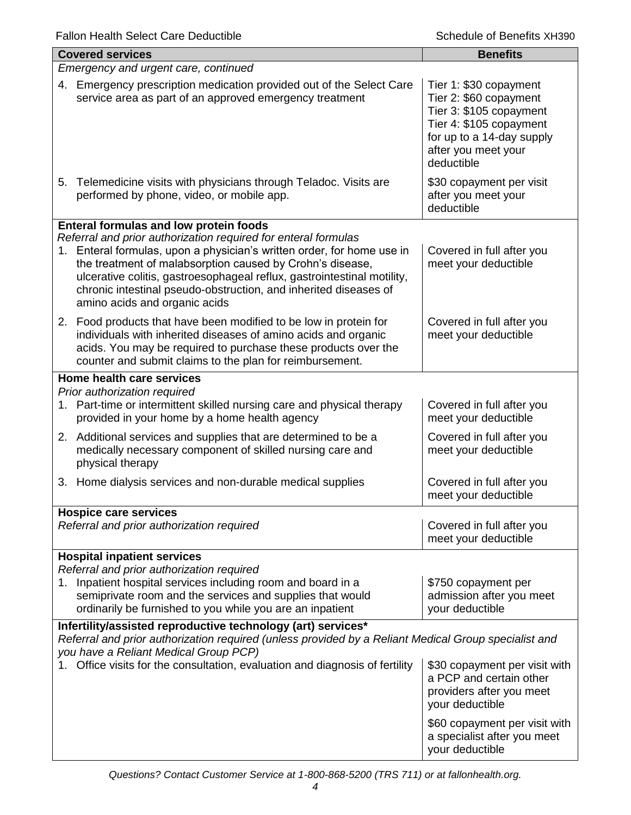| <b>Covered services</b>                                                                                                                                                                                       |                                                                                                                                                                                                                                                                                                                                                                                       | <b>Benefits</b>                                                                                                                                                          |
|---------------------------------------------------------------------------------------------------------------------------------------------------------------------------------------------------------------|---------------------------------------------------------------------------------------------------------------------------------------------------------------------------------------------------------------------------------------------------------------------------------------------------------------------------------------------------------------------------------------|--------------------------------------------------------------------------------------------------------------------------------------------------------------------------|
|                                                                                                                                                                                                               | Emergency and urgent care, continued                                                                                                                                                                                                                                                                                                                                                  |                                                                                                                                                                          |
|                                                                                                                                                                                                               | 4. Emergency prescription medication provided out of the Select Care<br>service area as part of an approved emergency treatment                                                                                                                                                                                                                                                       | Tier 1: \$30 copayment<br>Tier 2: \$60 copayment<br>Tier 3: \$105 copayment<br>Tier 4: \$105 copayment<br>for up to a 14-day supply<br>after you meet your<br>deductible |
|                                                                                                                                                                                                               | 5. Telemedicine visits with physicians through Teladoc. Visits are<br>performed by phone, video, or mobile app.                                                                                                                                                                                                                                                                       | \$30 copayment per visit<br>after you meet your<br>deductible                                                                                                            |
|                                                                                                                                                                                                               | <b>Enteral formulas and low protein foods</b>                                                                                                                                                                                                                                                                                                                                         |                                                                                                                                                                          |
|                                                                                                                                                                                                               | Referral and prior authorization required for enteral formulas<br>1. Enteral formulas, upon a physician's written order, for home use in<br>the treatment of malabsorption caused by Crohn's disease,<br>ulcerative colitis, gastroesophageal reflux, gastrointestinal motility,<br>chronic intestinal pseudo-obstruction, and inherited diseases of<br>amino acids and organic acids | Covered in full after you<br>meet your deductible                                                                                                                        |
|                                                                                                                                                                                                               | 2. Food products that have been modified to be low in protein for<br>individuals with inherited diseases of amino acids and organic<br>acids. You may be required to purchase these products over the<br>counter and submit claims to the plan for reimbursement.                                                                                                                     | Covered in full after you<br>meet your deductible                                                                                                                        |
| Home health care services                                                                                                                                                                                     |                                                                                                                                                                                                                                                                                                                                                                                       |                                                                                                                                                                          |
| Prior authorization required                                                                                                                                                                                  | 1. Part-time or intermittent skilled nursing care and physical therapy<br>provided in your home by a home health agency                                                                                                                                                                                                                                                               | Covered in full after you<br>meet your deductible                                                                                                                        |
| physical therapy                                                                                                                                                                                              | 2. Additional services and supplies that are determined to be a<br>medically necessary component of skilled nursing care and                                                                                                                                                                                                                                                          | Covered in full after you<br>meet your deductible                                                                                                                        |
|                                                                                                                                                                                                               | 3. Home dialysis services and non-durable medical supplies                                                                                                                                                                                                                                                                                                                            | Covered in full after you<br>meet your deductible                                                                                                                        |
| <b>Hospice care services</b>                                                                                                                                                                                  |                                                                                                                                                                                                                                                                                                                                                                                       |                                                                                                                                                                          |
|                                                                                                                                                                                                               | Referral and prior authorization required                                                                                                                                                                                                                                                                                                                                             | Covered in full after you<br>meet your deductible                                                                                                                        |
| <b>Hospital inpatient services</b>                                                                                                                                                                            |                                                                                                                                                                                                                                                                                                                                                                                       |                                                                                                                                                                          |
|                                                                                                                                                                                                               | Referral and prior authorization required<br>1. Inpatient hospital services including room and board in a<br>semiprivate room and the services and supplies that would<br>ordinarily be furnished to you while you are an inpatient                                                                                                                                                   | \$750 copayment per<br>admission after you meet<br>your deductible                                                                                                       |
| Infertility/assisted reproductive technology (art) services*<br>Referral and prior authorization required (unless provided by a Reliant Medical Group specialist and<br>you have a Reliant Medical Group PCP) |                                                                                                                                                                                                                                                                                                                                                                                       |                                                                                                                                                                          |
|                                                                                                                                                                                                               | Office visits for the consultation, evaluation and diagnosis of fertility                                                                                                                                                                                                                                                                                                             | \$30 copayment per visit with<br>a PCP and certain other<br>providers after you meet<br>your deductible                                                                  |
|                                                                                                                                                                                                               |                                                                                                                                                                                                                                                                                                                                                                                       | \$60 copayment per visit with<br>a specialist after you meet<br>your deductible                                                                                          |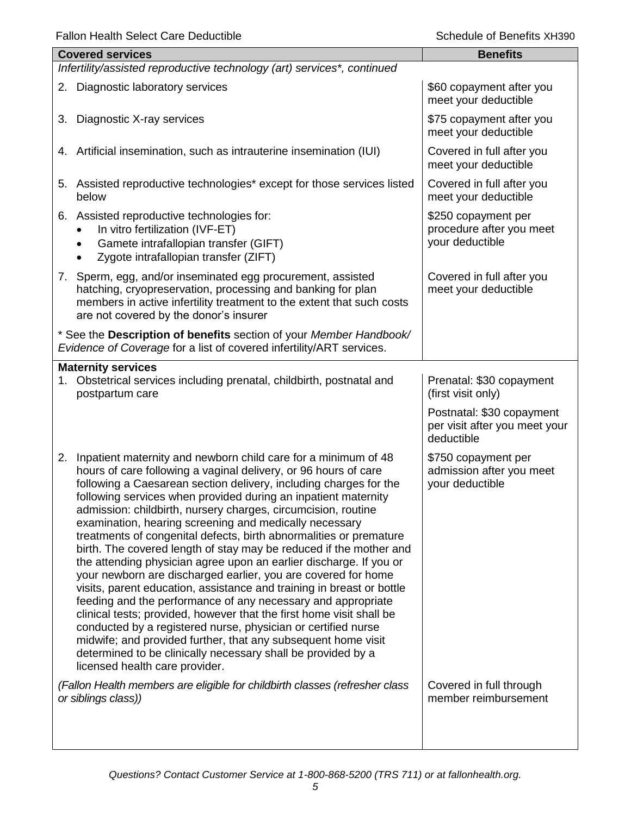|    | <b>Covered services</b>                                                                                                                                                                                                                                                                                                                                                                                                                                                                                                                                                                                                                                                                                                                                                                                                                                                                                                                                                                                                                                                                                                                     | <b>Benefits</b>                                                                                                            |
|----|---------------------------------------------------------------------------------------------------------------------------------------------------------------------------------------------------------------------------------------------------------------------------------------------------------------------------------------------------------------------------------------------------------------------------------------------------------------------------------------------------------------------------------------------------------------------------------------------------------------------------------------------------------------------------------------------------------------------------------------------------------------------------------------------------------------------------------------------------------------------------------------------------------------------------------------------------------------------------------------------------------------------------------------------------------------------------------------------------------------------------------------------|----------------------------------------------------------------------------------------------------------------------------|
|    | Infertility/assisted reproductive technology (art) services*, continued                                                                                                                                                                                                                                                                                                                                                                                                                                                                                                                                                                                                                                                                                                                                                                                                                                                                                                                                                                                                                                                                     |                                                                                                                            |
|    | 2. Diagnostic laboratory services                                                                                                                                                                                                                                                                                                                                                                                                                                                                                                                                                                                                                                                                                                                                                                                                                                                                                                                                                                                                                                                                                                           | \$60 copayment after you<br>meet your deductible                                                                           |
| 3. | Diagnostic X-ray services                                                                                                                                                                                                                                                                                                                                                                                                                                                                                                                                                                                                                                                                                                                                                                                                                                                                                                                                                                                                                                                                                                                   | \$75 copayment after you<br>meet your deductible                                                                           |
|    | 4. Artificial insemination, such as intrauterine insemination (IUI)                                                                                                                                                                                                                                                                                                                                                                                                                                                                                                                                                                                                                                                                                                                                                                                                                                                                                                                                                                                                                                                                         | Covered in full after you<br>meet your deductible                                                                          |
|    | 5. Assisted reproductive technologies* except for those services listed<br>below                                                                                                                                                                                                                                                                                                                                                                                                                                                                                                                                                                                                                                                                                                                                                                                                                                                                                                                                                                                                                                                            | Covered in full after you<br>meet your deductible                                                                          |
|    | 6. Assisted reproductive technologies for:<br>In vitro fertilization (IVF-ET)<br>Gamete intrafallopian transfer (GIFT)<br>Zygote intrafallopian transfer (ZIFT)                                                                                                                                                                                                                                                                                                                                                                                                                                                                                                                                                                                                                                                                                                                                                                                                                                                                                                                                                                             | \$250 copayment per<br>procedure after you meet<br>your deductible                                                         |
|    | 7. Sperm, egg, and/or inseminated egg procurement, assisted<br>hatching, cryopreservation, processing and banking for plan<br>members in active infertility treatment to the extent that such costs<br>are not covered by the donor's insurer                                                                                                                                                                                                                                                                                                                                                                                                                                                                                                                                                                                                                                                                                                                                                                                                                                                                                               | Covered in full after you<br>meet your deductible                                                                          |
|    | * See the Description of benefits section of your Member Handbook/<br>Evidence of Coverage for a list of covered infertility/ART services.                                                                                                                                                                                                                                                                                                                                                                                                                                                                                                                                                                                                                                                                                                                                                                                                                                                                                                                                                                                                  |                                                                                                                            |
|    | <b>Maternity services</b><br>1. Obstetrical services including prenatal, childbirth, postnatal and<br>postpartum care                                                                                                                                                                                                                                                                                                                                                                                                                                                                                                                                                                                                                                                                                                                                                                                                                                                                                                                                                                                                                       | Prenatal: \$30 copayment<br>(first visit only)<br>Postnatal: \$30 copayment<br>per visit after you meet your<br>deductible |
| 2. | Inpatient maternity and newborn child care for a minimum of 48<br>hours of care following a vaginal delivery, or 96 hours of care<br>following a Caesarean section delivery, including charges for the<br>following services when provided during an inpatient maternity<br>admission: childbirth, nursery charges, circumcision, routine<br>examination, hearing screening and medically necessary<br>treatments of congenital defects, birth abnormalities or premature<br>birth. The covered length of stay may be reduced if the mother and<br>the attending physician agree upon an earlier discharge. If you or<br>your newborn are discharged earlier, you are covered for home<br>visits, parent education, assistance and training in breast or bottle<br>feeding and the performance of any necessary and appropriate<br>clinical tests; provided, however that the first home visit shall be<br>conducted by a registered nurse, physician or certified nurse<br>midwife; and provided further, that any subsequent home visit<br>determined to be clinically necessary shall be provided by a<br>licensed health care provider. | \$750 copayment per<br>admission after you meet<br>your deductible                                                         |
|    | (Fallon Health members are eligible for childbirth classes (refresher class<br>or siblings class))                                                                                                                                                                                                                                                                                                                                                                                                                                                                                                                                                                                                                                                                                                                                                                                                                                                                                                                                                                                                                                          | Covered in full through<br>member reimbursement                                                                            |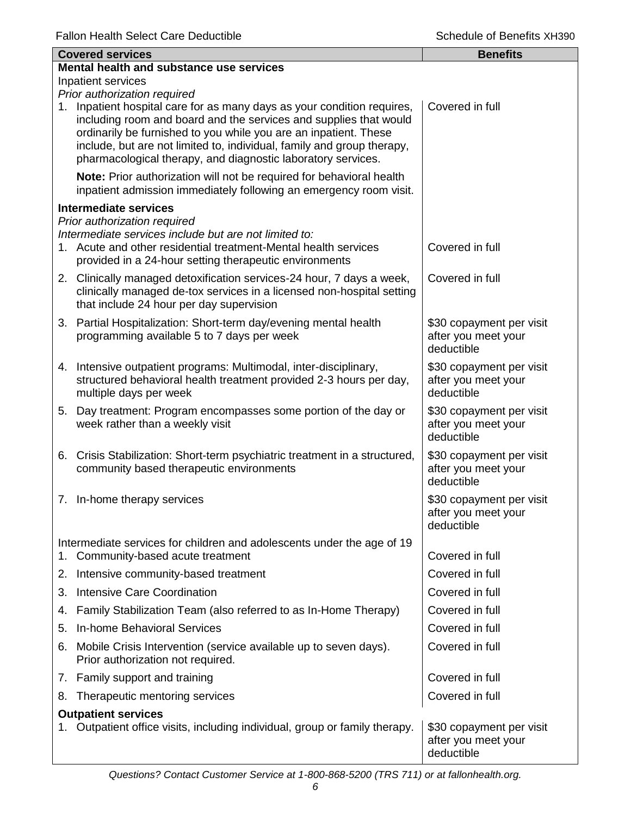|    | <b>Covered services</b>                                                                                                                                                                                                                                                                                                                                 | <b>Benefits</b>                                               |
|----|---------------------------------------------------------------------------------------------------------------------------------------------------------------------------------------------------------------------------------------------------------------------------------------------------------------------------------------------------------|---------------------------------------------------------------|
|    | Mental health and substance use services                                                                                                                                                                                                                                                                                                                |                                                               |
|    | Inpatient services<br>Prior authorization required                                                                                                                                                                                                                                                                                                      |                                                               |
| 1. | Inpatient hospital care for as many days as your condition requires,<br>including room and board and the services and supplies that would<br>ordinarily be furnished to you while you are an inpatient. These<br>include, but are not limited to, individual, family and group therapy,<br>pharmacological therapy, and diagnostic laboratory services. | Covered in full                                               |
|    | Note: Prior authorization will not be required for behavioral health<br>inpatient admission immediately following an emergency room visit.                                                                                                                                                                                                              |                                                               |
|    | <b>Intermediate services</b>                                                                                                                                                                                                                                                                                                                            |                                                               |
|    | Prior authorization required<br>Intermediate services include but are not limited to:                                                                                                                                                                                                                                                                   |                                                               |
|    | 1. Acute and other residential treatment-Mental health services<br>provided in a 24-hour setting therapeutic environments                                                                                                                                                                                                                               | Covered in full                                               |
|    | 2. Clinically managed detoxification services-24 hour, 7 days a week,<br>clinically managed de-tox services in a licensed non-hospital setting<br>that include 24 hour per day supervision                                                                                                                                                              | Covered in full                                               |
|    | 3. Partial Hospitalization: Short-term day/evening mental health<br>programming available 5 to 7 days per week                                                                                                                                                                                                                                          | \$30 copayment per visit<br>after you meet your<br>deductible |
|    | 4. Intensive outpatient programs: Multimodal, inter-disciplinary,<br>structured behavioral health treatment provided 2-3 hours per day,<br>multiple days per week                                                                                                                                                                                       | \$30 copayment per visit<br>after you meet your<br>deductible |
|    | 5. Day treatment: Program encompasses some portion of the day or<br>week rather than a weekly visit                                                                                                                                                                                                                                                     | \$30 copayment per visit<br>after you meet your<br>deductible |
|    | 6. Crisis Stabilization: Short-term psychiatric treatment in a structured,<br>community based therapeutic environments                                                                                                                                                                                                                                  | \$30 copayment per visit<br>after you meet your<br>deductible |
|    | 7. In-home therapy services                                                                                                                                                                                                                                                                                                                             | \$30 copayment per visit<br>after you meet your<br>deductible |
|    | Intermediate services for children and adolescents under the age of 19                                                                                                                                                                                                                                                                                  |                                                               |
| 1. | Community-based acute treatment                                                                                                                                                                                                                                                                                                                         | Covered in full                                               |
| 2. | Intensive community-based treatment                                                                                                                                                                                                                                                                                                                     | Covered in full                                               |
| 3. | <b>Intensive Care Coordination</b>                                                                                                                                                                                                                                                                                                                      | Covered in full                                               |
| 4. | Family Stabilization Team (also referred to as In-Home Therapy)                                                                                                                                                                                                                                                                                         | Covered in full                                               |
| 5. | <b>In-home Behavioral Services</b>                                                                                                                                                                                                                                                                                                                      | Covered in full                                               |
| 6. | Mobile Crisis Intervention (service available up to seven days).<br>Prior authorization not required.                                                                                                                                                                                                                                                   | Covered in full                                               |
|    | 7. Family support and training                                                                                                                                                                                                                                                                                                                          | Covered in full                                               |
| 8. | Therapeutic mentoring services                                                                                                                                                                                                                                                                                                                          | Covered in full                                               |
|    | <b>Outpatient services</b>                                                                                                                                                                                                                                                                                                                              |                                                               |
| 1. | Outpatient office visits, including individual, group or family therapy.                                                                                                                                                                                                                                                                                | \$30 copayment per visit<br>after you meet your<br>deductible |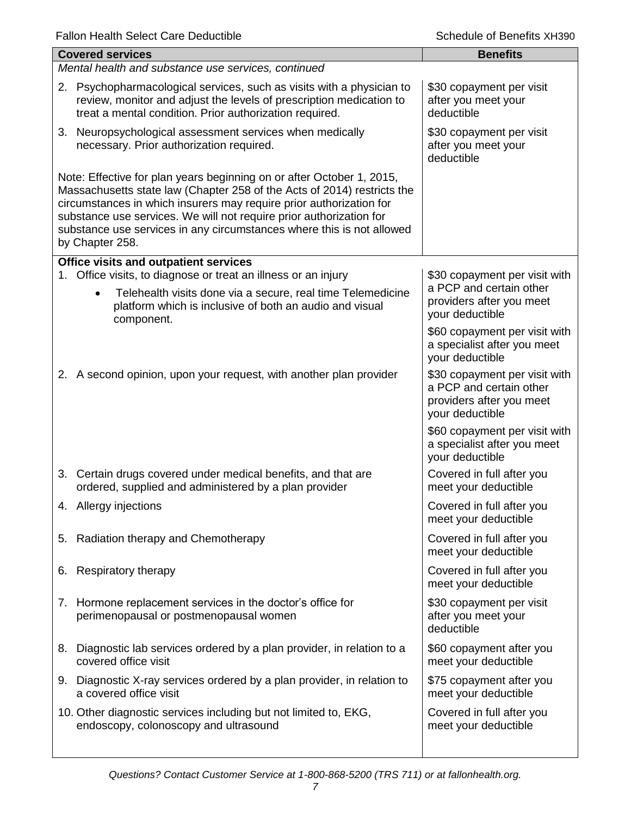|    | <b>Covered services</b>                                                                                                                                                                                                                                                                                                                                                                    | <b>Benefits</b>                                                                                         |
|----|--------------------------------------------------------------------------------------------------------------------------------------------------------------------------------------------------------------------------------------------------------------------------------------------------------------------------------------------------------------------------------------------|---------------------------------------------------------------------------------------------------------|
|    | Mental health and substance use services, continued                                                                                                                                                                                                                                                                                                                                        |                                                                                                         |
|    | 2. Psychopharmacological services, such as visits with a physician to<br>review, monitor and adjust the levels of prescription medication to<br>treat a mental condition. Prior authorization required.                                                                                                                                                                                    | \$30 copayment per visit<br>after you meet your<br>deductible                                           |
|    | 3. Neuropsychological assessment services when medically<br>necessary. Prior authorization required.                                                                                                                                                                                                                                                                                       | \$30 copayment per visit<br>after you meet your<br>deductible                                           |
|    | Note: Effective for plan years beginning on or after October 1, 2015,<br>Massachusetts state law (Chapter 258 of the Acts of 2014) restricts the<br>circumstances in which insurers may require prior authorization for<br>substance use services. We will not require prior authorization for<br>substance use services in any circumstances where this is not allowed<br>by Chapter 258. |                                                                                                         |
|    | <b>Office visits and outpatient services</b>                                                                                                                                                                                                                                                                                                                                               |                                                                                                         |
|    | 1. Office visits, to diagnose or treat an illness or an injury<br>Telehealth visits done via a secure, real time Telemedicine<br>$\bullet$<br>platform which is inclusive of both an audio and visual<br>component.                                                                                                                                                                        | \$30 copayment per visit with<br>a PCP and certain other<br>providers after you meet<br>your deductible |
|    |                                                                                                                                                                                                                                                                                                                                                                                            | \$60 copayment per visit with<br>a specialist after you meet<br>your deductible                         |
|    | 2. A second opinion, upon your request, with another plan provider                                                                                                                                                                                                                                                                                                                         | \$30 copayment per visit with<br>a PCP and certain other<br>providers after you meet<br>your deductible |
|    |                                                                                                                                                                                                                                                                                                                                                                                            | \$60 copayment per visit with<br>a specialist after you meet<br>your deductible                         |
|    | 3. Certain drugs covered under medical benefits, and that are<br>ordered, supplied and administered by a plan provider                                                                                                                                                                                                                                                                     | Covered in full after you<br>meet your deductible                                                       |
|    | 4. Allergy injections                                                                                                                                                                                                                                                                                                                                                                      | Covered in full after you<br>meet your deductible                                                       |
| 5. | Radiation therapy and Chemotherapy                                                                                                                                                                                                                                                                                                                                                         | Covered in full after you<br>meet your deductible                                                       |
| 6. | Respiratory therapy                                                                                                                                                                                                                                                                                                                                                                        | Covered in full after you<br>meet your deductible                                                       |
|    | 7. Hormone replacement services in the doctor's office for<br>perimenopausal or postmenopausal women                                                                                                                                                                                                                                                                                       | \$30 copayment per visit<br>after you meet your<br>deductible                                           |
| 8. | Diagnostic lab services ordered by a plan provider, in relation to a<br>covered office visit                                                                                                                                                                                                                                                                                               | \$60 copayment after you<br>meet your deductible                                                        |
|    | 9. Diagnostic X-ray services ordered by a plan provider, in relation to<br>a covered office visit                                                                                                                                                                                                                                                                                          | \$75 copayment after you<br>meet your deductible                                                        |
|    | 10. Other diagnostic services including but not limited to, EKG,<br>endoscopy, colonoscopy and ultrasound                                                                                                                                                                                                                                                                                  | Covered in full after you<br>meet your deductible                                                       |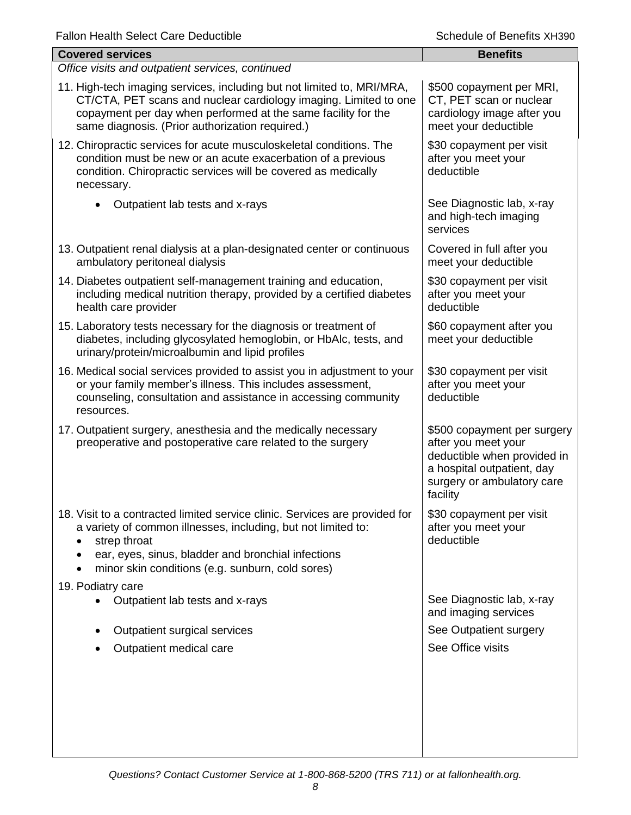| <b>Covered services</b>                                                                                                                                                                                                                                                                          | <b>Benefits</b>                                                                                                                                           |
|--------------------------------------------------------------------------------------------------------------------------------------------------------------------------------------------------------------------------------------------------------------------------------------------------|-----------------------------------------------------------------------------------------------------------------------------------------------------------|
| Office visits and outpatient services, continued                                                                                                                                                                                                                                                 |                                                                                                                                                           |
| 11. High-tech imaging services, including but not limited to, MRI/MRA,<br>CT/CTA, PET scans and nuclear cardiology imaging. Limited to one<br>copayment per day when performed at the same facility for the<br>same diagnosis. (Prior authorization required.)                                   | \$500 copayment per MRI,<br>CT, PET scan or nuclear<br>cardiology image after you<br>meet your deductible                                                 |
| 12. Chiropractic services for acute musculoskeletal conditions. The<br>condition must be new or an acute exacerbation of a previous<br>condition. Chiropractic services will be covered as medically<br>necessary.                                                                               | \$30 copayment per visit<br>after you meet your<br>deductible                                                                                             |
| Outpatient lab tests and x-rays                                                                                                                                                                                                                                                                  | See Diagnostic lab, x-ray<br>and high-tech imaging<br>services                                                                                            |
| 13. Outpatient renal dialysis at a plan-designated center or continuous<br>ambulatory peritoneal dialysis                                                                                                                                                                                        | Covered in full after you<br>meet your deductible                                                                                                         |
| 14. Diabetes outpatient self-management training and education,<br>including medical nutrition therapy, provided by a certified diabetes<br>health care provider                                                                                                                                 | \$30 copayment per visit<br>after you meet your<br>deductible                                                                                             |
| 15. Laboratory tests necessary for the diagnosis or treatment of<br>diabetes, including glycosylated hemoglobin, or HbAlc, tests, and<br>urinary/protein/microalbumin and lipid profiles                                                                                                         | \$60 copayment after you<br>meet your deductible                                                                                                          |
| 16. Medical social services provided to assist you in adjustment to your<br>or your family member's illness. This includes assessment,<br>counseling, consultation and assistance in accessing community<br>resources.                                                                           | \$30 copayment per visit<br>after you meet your<br>deductible                                                                                             |
| 17. Outpatient surgery, anesthesia and the medically necessary<br>preoperative and postoperative care related to the surgery                                                                                                                                                                     | \$500 copayment per surgery<br>after you meet your<br>deductible when provided in<br>a hospital outpatient, day<br>surgery or ambulatory care<br>facility |
| 18. Visit to a contracted limited service clinic. Services are provided for<br>a variety of common illnesses, including, but not limited to:<br>strep throat<br>ear, eyes, sinus, bladder and bronchial infections<br>$\bullet$<br>minor skin conditions (e.g. sunburn, cold sores)<br>$\bullet$ | \$30 copayment per visit<br>after you meet your<br>deductible                                                                                             |
| 19. Podiatry care<br>Outpatient lab tests and x-rays                                                                                                                                                                                                                                             | See Diagnostic lab, x-ray<br>and imaging services                                                                                                         |
| Outpatient surgical services                                                                                                                                                                                                                                                                     | See Outpatient surgery                                                                                                                                    |
| Outpatient medical care                                                                                                                                                                                                                                                                          | See Office visits                                                                                                                                         |
|                                                                                                                                                                                                                                                                                                  |                                                                                                                                                           |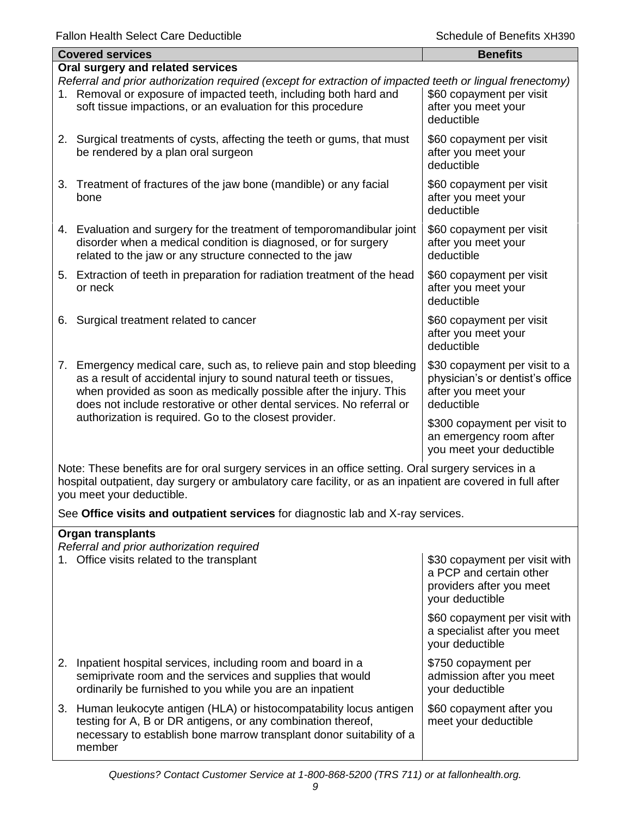| <b>Covered services</b>                                                                                                                                                                                                                                                                        | <b>Benefits</b>                                                                                       |  |
|------------------------------------------------------------------------------------------------------------------------------------------------------------------------------------------------------------------------------------------------------------------------------------------------|-------------------------------------------------------------------------------------------------------|--|
| Oral surgery and related services                                                                                                                                                                                                                                                              |                                                                                                       |  |
| Referral and prior authorization required (except for extraction of impacted teeth or lingual frenectomy)<br>1. Removal or exposure of impacted teeth, including both hard and<br>soft tissue impactions, or an evaluation for this procedure                                                  | \$60 copayment per visit<br>after you meet your<br>deductible                                         |  |
| 2. Surgical treatments of cysts, affecting the teeth or gums, that must<br>be rendered by a plan oral surgeon                                                                                                                                                                                  | \$60 copayment per visit<br>after you meet your<br>deductible                                         |  |
| 3. Treatment of fractures of the jaw bone (mandible) or any facial<br>bone                                                                                                                                                                                                                     | \$60 copayment per visit<br>after you meet your<br>deductible                                         |  |
| 4. Evaluation and surgery for the treatment of temporomandibular joint<br>disorder when a medical condition is diagnosed, or for surgery<br>related to the jaw or any structure connected to the jaw                                                                                           | \$60 copayment per visit<br>after you meet your<br>deductible                                         |  |
| 5. Extraction of teeth in preparation for radiation treatment of the head<br>or neck                                                                                                                                                                                                           | \$60 copayment per visit<br>after you meet your<br>deductible                                         |  |
| Surgical treatment related to cancer<br>6.                                                                                                                                                                                                                                                     | \$60 copayment per visit<br>after you meet your<br>deductible                                         |  |
| Emergency medical care, such as, to relieve pain and stop bleeding<br>7.<br>as a result of accidental injury to sound natural teeth or tissues,<br>when provided as soon as medically possible after the injury. This<br>does not include restorative or other dental services. No referral or | \$30 copayment per visit to a<br>physician's or dentist's office<br>after you meet your<br>deductible |  |
| authorization is required. Go to the closest provider.                                                                                                                                                                                                                                         | \$300 copayment per visit to<br>an emergency room after<br>you meet your deductible                   |  |
| Note: These benefits are for aral ourgery services in an office setting. Oral ourgery services in a                                                                                                                                                                                            |                                                                                                       |  |

Note: These benefits are for oral surgery services in an office setting. Oral surgery services in a hospital outpatient, day surgery or ambulatory care facility, or as an inpatient are covered in full after you meet your deductible.

See **Office visits and outpatient services** for diagnostic lab and X-ray services.

| <b>Organ transplants</b><br>Referral and prior authorization required                                                                                                                                                  |                                                                                                         |  |
|------------------------------------------------------------------------------------------------------------------------------------------------------------------------------------------------------------------------|---------------------------------------------------------------------------------------------------------|--|
| 1. Office visits related to the transplant                                                                                                                                                                             | \$30 copayment per visit with<br>a PCP and certain other<br>providers after you meet<br>your deductible |  |
|                                                                                                                                                                                                                        | \$60 copayment per visit with<br>a specialist after you meet<br>your deductible                         |  |
| 2. Inpatient hospital services, including room and board in a<br>semiprivate room and the services and supplies that would<br>ordinarily be furnished to you while you are an inpatient                                | \$750 copayment per<br>admission after you meet<br>your deductible                                      |  |
| 3. Human leukocyte antigen (HLA) or histocompatability locus antigen<br>testing for A, B or DR antigens, or any combination thereof,<br>necessary to establish bone marrow transplant donor suitability of a<br>member | \$60 copayment after you<br>meet your deductible                                                        |  |

### *Questions? Contact Customer Service at 1-800-868-5200 (TRS 711) or at fallonhealth.org.*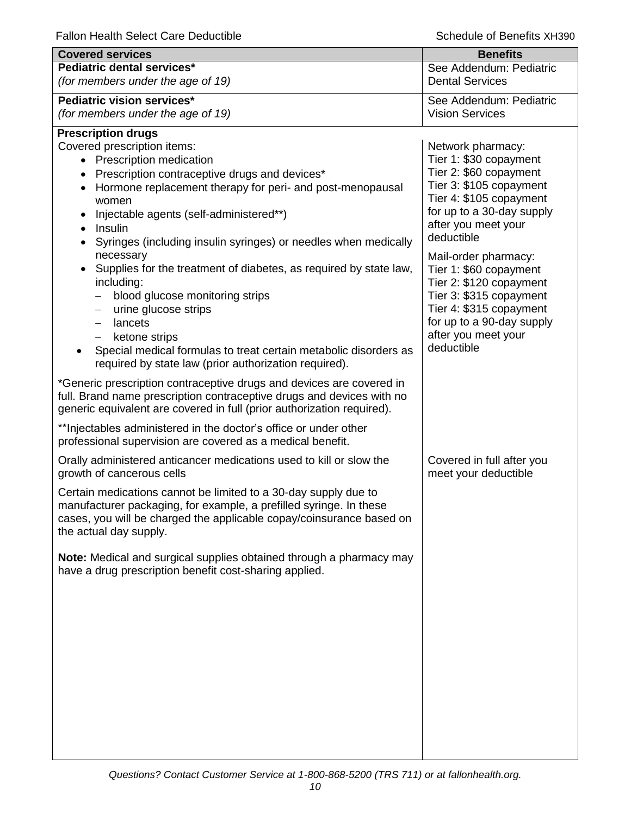| <b>Covered services</b>                                                                                                                       | <b>Benefits</b>                                   |
|-----------------------------------------------------------------------------------------------------------------------------------------------|---------------------------------------------------|
| Pediatric dental services*                                                                                                                    | See Addendum: Pediatric                           |
| (for members under the age of 19)                                                                                                             | <b>Dental Services</b>                            |
| Pediatric vision services*                                                                                                                    | See Addendum: Pediatric                           |
| (for members under the age of 19)                                                                                                             | <b>Vision Services</b>                            |
| <b>Prescription drugs</b>                                                                                                                     |                                                   |
| Covered prescription items:                                                                                                                   | Network pharmacy:                                 |
| • Prescription medication                                                                                                                     | Tier 1: \$30 copayment<br>Tier 2: \$60 copayment  |
| • Prescription contraceptive drugs and devices*<br>Hormone replacement therapy for peri- and post-menopausal                                  | Tier 3: \$105 copayment                           |
| women                                                                                                                                         | Tier 4: \$105 copayment                           |
| Injectable agents (self-administered**)                                                                                                       | for up to a 30-day supply                         |
| Insulin                                                                                                                                       | after you meet your<br>deductible                 |
| Syringes (including insulin syringes) or needles when medically                                                                               |                                                   |
| necessary<br>Supplies for the treatment of diabetes, as required by state law,                                                                | Mail-order pharmacy:                              |
| including:                                                                                                                                    | Tier 1: \$60 copayment<br>Tier 2: \$120 copayment |
| blood glucose monitoring strips                                                                                                               | Tier 3: \$315 copayment                           |
| urine glucose strips<br>$\qquad \qquad -$                                                                                                     | Tier 4: \$315 copayment                           |
| lancets<br>$\qquad \qquad -$                                                                                                                  | for up to a 90-day supply                         |
| ketone strips<br>$\qquad \qquad -$                                                                                                            | after you meet your<br>deductible                 |
| Special medical formulas to treat certain metabolic disorders as<br>required by state law (prior authorization required).                     |                                                   |
|                                                                                                                                               |                                                   |
| *Generic prescription contraceptive drugs and devices are covered in<br>full. Brand name prescription contraceptive drugs and devices with no |                                                   |
| generic equivalent are covered in full (prior authorization required).                                                                        |                                                   |
| ** Injectables administered in the doctor's office or under other                                                                             |                                                   |
| professional supervision are covered as a medical benefit.                                                                                    |                                                   |
| Orally administered anticancer medications used to kill or slow the<br>growth of cancerous cells                                              | Covered in full after you<br>meet your deductible |
| Certain medications cannot be limited to a 30-day supply due to                                                                               |                                                   |
| manufacturer packaging, for example, a prefilled syringe. In these                                                                            |                                                   |
| cases, you will be charged the applicable copay/coinsurance based on<br>the actual day supply.                                                |                                                   |
|                                                                                                                                               |                                                   |
| Note: Medical and surgical supplies obtained through a pharmacy may                                                                           |                                                   |
| have a drug prescription benefit cost-sharing applied.                                                                                        |                                                   |
|                                                                                                                                               |                                                   |
|                                                                                                                                               |                                                   |
|                                                                                                                                               |                                                   |
|                                                                                                                                               |                                                   |
|                                                                                                                                               |                                                   |
|                                                                                                                                               |                                                   |
|                                                                                                                                               |                                                   |
|                                                                                                                                               |                                                   |
|                                                                                                                                               |                                                   |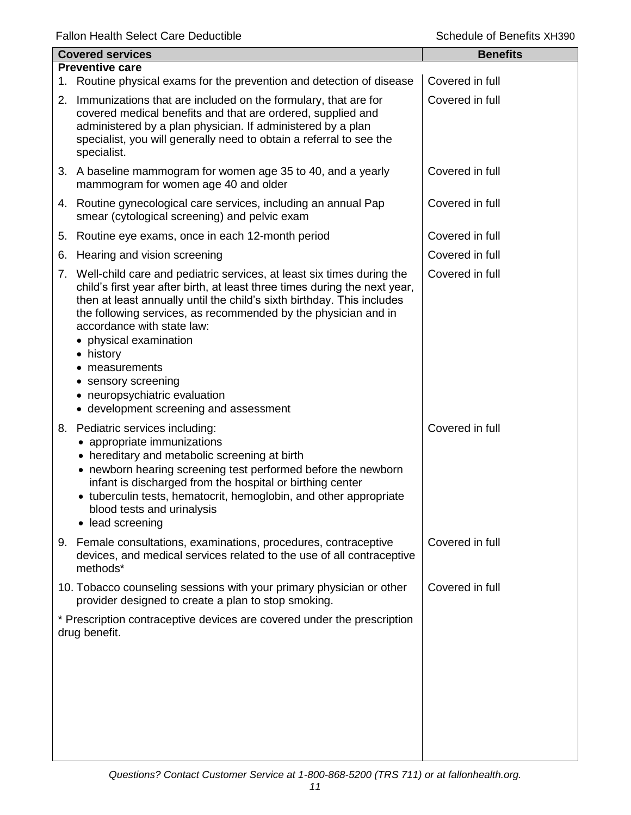|    | <b>Covered services</b>                                                                                                                                                                                                                                                                                                                                                                                                                                                                              | <b>Benefits</b> |
|----|------------------------------------------------------------------------------------------------------------------------------------------------------------------------------------------------------------------------------------------------------------------------------------------------------------------------------------------------------------------------------------------------------------------------------------------------------------------------------------------------------|-----------------|
|    | <b>Preventive care</b>                                                                                                                                                                                                                                                                                                                                                                                                                                                                               |                 |
|    | 1. Routine physical exams for the prevention and detection of disease                                                                                                                                                                                                                                                                                                                                                                                                                                | Covered in full |
|    | 2. Immunizations that are included on the formulary, that are for<br>covered medical benefits and that are ordered, supplied and<br>administered by a plan physician. If administered by a plan<br>specialist, you will generally need to obtain a referral to see the<br>specialist.                                                                                                                                                                                                                | Covered in full |
|    | 3. A baseline mammogram for women age 35 to 40, and a yearly<br>mammogram for women age 40 and older                                                                                                                                                                                                                                                                                                                                                                                                 | Covered in full |
|    | 4. Routine gynecological care services, including an annual Pap<br>smear (cytological screening) and pelvic exam                                                                                                                                                                                                                                                                                                                                                                                     | Covered in full |
| 5. | Routine eye exams, once in each 12-month period                                                                                                                                                                                                                                                                                                                                                                                                                                                      | Covered in full |
| 6. | Hearing and vision screening                                                                                                                                                                                                                                                                                                                                                                                                                                                                         | Covered in full |
|    | 7. Well-child care and pediatric services, at least six times during the<br>child's first year after birth, at least three times during the next year,<br>then at least annually until the child's sixth birthday. This includes<br>the following services, as recommended by the physician and in<br>accordance with state law:<br>• physical examination<br>• history<br>measurements<br>sensory screening<br>$\bullet$<br>• neuropsychiatric evaluation<br>• development screening and assessment | Covered in full |
|    | 8. Pediatric services including:<br>• appropriate immunizations<br>• hereditary and metabolic screening at birth<br>• newborn hearing screening test performed before the newborn<br>infant is discharged from the hospital or birthing center<br>• tuberculin tests, hematocrit, hemoglobin, and other appropriate<br>blood tests and urinalysis<br>• lead screening                                                                                                                                | Covered in full |
|    | 9. Female consultations, examinations, procedures, contraceptive<br>devices, and medical services related to the use of all contraceptive<br>methods*                                                                                                                                                                                                                                                                                                                                                | Covered in full |
|    | 10. Tobacco counseling sessions with your primary physician or other<br>provider designed to create a plan to stop smoking.                                                                                                                                                                                                                                                                                                                                                                          | Covered in full |
|    | * Prescription contraceptive devices are covered under the prescription<br>drug benefit.                                                                                                                                                                                                                                                                                                                                                                                                             |                 |
|    |                                                                                                                                                                                                                                                                                                                                                                                                                                                                                                      |                 |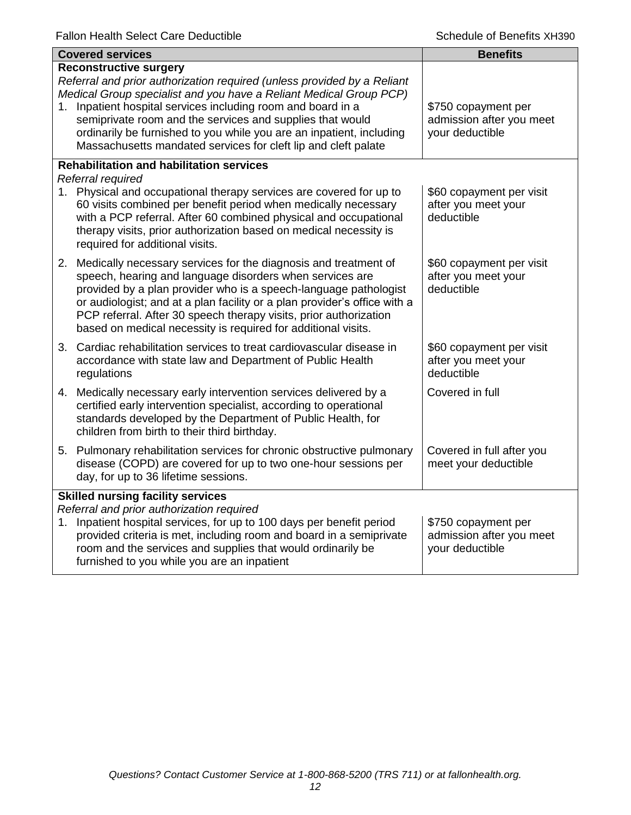|    | <b>Covered services</b>                                                                                                                                                                                                                                                                                                                                                                                                                            | <b>Benefits</b>                                                    |  |
|----|----------------------------------------------------------------------------------------------------------------------------------------------------------------------------------------------------------------------------------------------------------------------------------------------------------------------------------------------------------------------------------------------------------------------------------------------------|--------------------------------------------------------------------|--|
| 1. | <b>Reconstructive surgery</b><br>Referral and prior authorization required (unless provided by a Reliant<br>Medical Group specialist and you have a Reliant Medical Group PCP)<br>Inpatient hospital services including room and board in a<br>semiprivate room and the services and supplies that would<br>ordinarily be furnished to you while you are an inpatient, including<br>Massachusetts mandated services for cleft lip and cleft palate | \$750 copayment per<br>admission after you meet<br>your deductible |  |
|    | <b>Rehabilitation and habilitation services</b>                                                                                                                                                                                                                                                                                                                                                                                                    |                                                                    |  |
|    | Referral required<br>1. Physical and occupational therapy services are covered for up to<br>60 visits combined per benefit period when medically necessary<br>with a PCP referral. After 60 combined physical and occupational<br>therapy visits, prior authorization based on medical necessity is<br>required for additional visits.                                                                                                             | \$60 copayment per visit<br>after you meet your<br>deductible      |  |
|    | 2. Medically necessary services for the diagnosis and treatment of<br>speech, hearing and language disorders when services are<br>provided by a plan provider who is a speech-language pathologist<br>or audiologist; and at a plan facility or a plan provider's office with a<br>PCP referral. After 30 speech therapy visits, prior authorization<br>based on medical necessity is required for additional visits.                              | \$60 copayment per visit<br>after you meet your<br>deductible      |  |
|    | 3. Cardiac rehabilitation services to treat cardiovascular disease in<br>accordance with state law and Department of Public Health<br>regulations                                                                                                                                                                                                                                                                                                  | \$60 copayment per visit<br>after you meet your<br>deductible      |  |
|    | 4. Medically necessary early intervention services delivered by a<br>certified early intervention specialist, according to operational<br>standards developed by the Department of Public Health, for<br>children from birth to their third birthday.                                                                                                                                                                                              | Covered in full                                                    |  |
|    | 5. Pulmonary rehabilitation services for chronic obstructive pulmonary<br>disease (COPD) are covered for up to two one-hour sessions per<br>day, for up to 36 lifetime sessions.                                                                                                                                                                                                                                                                   | Covered in full after you<br>meet your deductible                  |  |
|    | <b>Skilled nursing facility services</b>                                                                                                                                                                                                                                                                                                                                                                                                           |                                                                    |  |
|    | Referral and prior authorization required<br>1. Inpatient hospital services, for up to 100 days per benefit period<br>provided criteria is met, including room and board in a semiprivate<br>room and the services and supplies that would ordinarily be<br>furnished to you while you are an inpatient                                                                                                                                            | \$750 copayment per<br>admission after you meet<br>your deductible |  |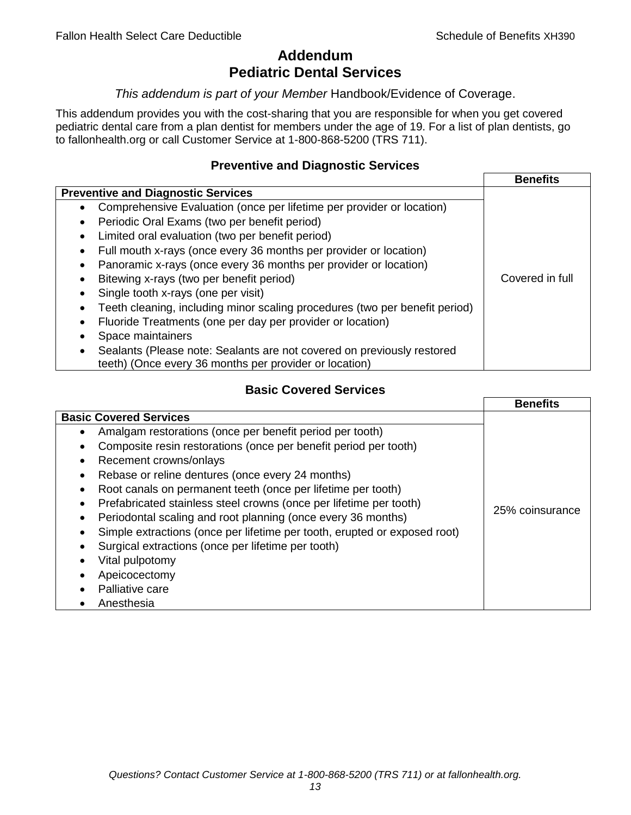## **Addendum Pediatric Dental Services**

### *This addendum is part of your Member* Handbook/Evidence of Coverage.

This addendum provides you with the cost-sharing that you are responsible for when you get covered pediatric dental care from a plan dentist for members under the age of 19. For a list of plan dentists, go to fallonhealth.org or call Customer Service at 1-800-868-5200 (TRS 711).

### **Preventive and Diagnostic Services**

|                                                                                    | <b>Benefits</b> |
|------------------------------------------------------------------------------------|-----------------|
| <b>Preventive and Diagnostic Services</b>                                          |                 |
| Comprehensive Evaluation (once per lifetime per provider or location)<br>$\bullet$ |                 |
| Periodic Oral Exams (two per benefit period)                                       |                 |
| Limited oral evaluation (two per benefit period)<br>٠                              |                 |
| Full mouth x-rays (once every 36 months per provider or location)                  |                 |
| Panoramic x-rays (once every 36 months per provider or location)                   |                 |
| Bitewing x-rays (two per benefit period)<br>٠                                      | Covered in full |
| Single tooth x-rays (one per visit)                                                |                 |
| Teeth cleaning, including minor scaling procedures (two per benefit period)        |                 |
| Fluoride Treatments (one per day per provider or location)<br>٠                    |                 |
| Space maintainers                                                                  |                 |
| Sealants (Please note: Sealants are not covered on previously restored             |                 |
| teeth) (Once every 36 months per provider or location)                             |                 |

## **Basic Covered Services**

|                                                                                                                                                                                                                                                                                                                                                                                                                                                                | <b>Benefits</b> |
|----------------------------------------------------------------------------------------------------------------------------------------------------------------------------------------------------------------------------------------------------------------------------------------------------------------------------------------------------------------------------------------------------------------------------------------------------------------|-----------------|
| <b>Basic Covered Services</b><br>Amalgam restorations (once per benefit period per tooth)<br>Composite resin restorations (once per benefit period per tooth)<br>Recement crowns/onlays                                                                                                                                                                                                                                                                        |                 |
| Rebase or reline dentures (once every 24 months)<br>Root canals on permanent teeth (once per lifetime per tooth)<br>Prefabricated stainless steel crowns (once per lifetime per tooth)<br>Periodontal scaling and root planning (once every 36 months)<br>Simple extractions (once per lifetime per tooth, erupted or exposed root)<br>Surgical extractions (once per lifetime per tooth)<br>Vital pulpotomy<br>Apeicocectomy<br>Palliative care<br>Anesthesia | 25% coinsurance |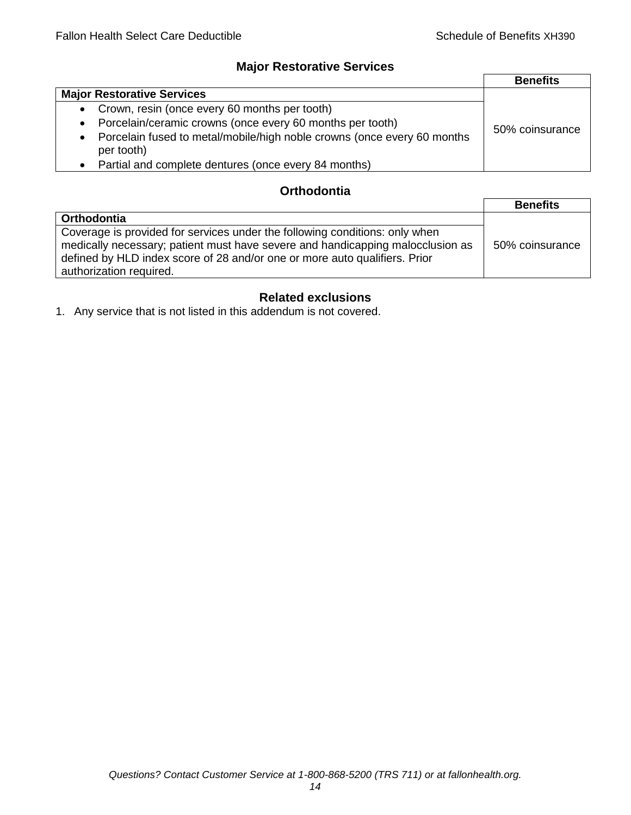## **Major Restorative Services**

|                                                                                                    | <b>Benefits</b> |
|----------------------------------------------------------------------------------------------------|-----------------|
| <b>Major Restorative Services</b>                                                                  |                 |
| • Crown, resin (once every 60 months per tooth)                                                    |                 |
| Porcelain/ceramic crowns (once every 60 months per tooth)<br>$\bullet$                             | 50% coinsurance |
| Porcelain fused to metal/mobile/high noble crowns (once every 60 months<br>$\bullet$<br>per tooth) |                 |
| • Partial and complete dentures (once every 84 months)                                             |                 |

## **Orthodontia**

|                                                                                                                                                                                                                                                                        | <b>Benefits</b> |
|------------------------------------------------------------------------------------------------------------------------------------------------------------------------------------------------------------------------------------------------------------------------|-----------------|
| <b>Orthodontia</b>                                                                                                                                                                                                                                                     |                 |
| Coverage is provided for services under the following conditions: only when<br>medically necessary; patient must have severe and handicapping malocclusion as<br>defined by HLD index score of 28 and/or one or more auto qualifiers. Prior<br>authorization required. | 50% coinsurance |

## **Related exclusions**

1. Any service that is not listed in this addendum is not covered.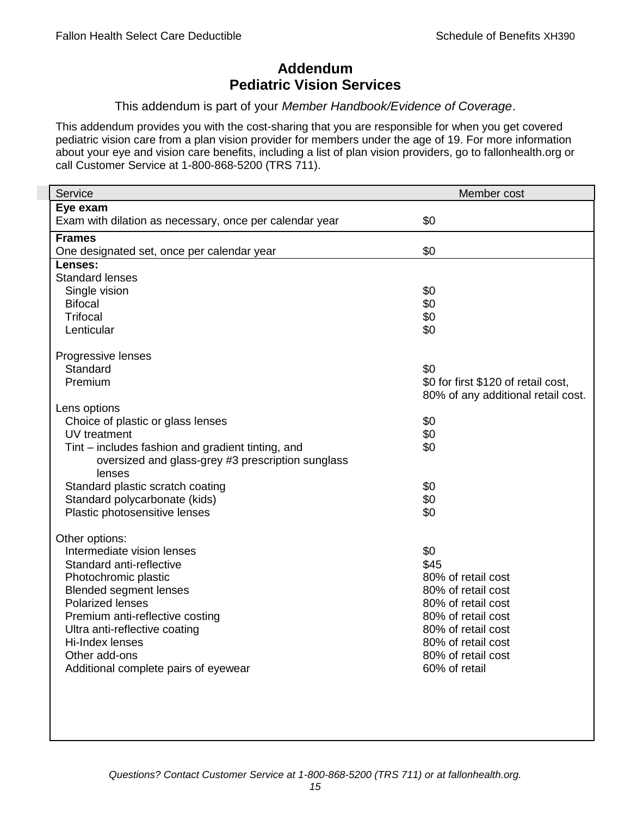## **Addendum Pediatric Vision Services**

### This addendum is part of your *Member Handbook/Evidence of Coverage*.

This addendum provides you with the cost-sharing that you are responsible for when you get covered pediatric vision care from a plan vision provider for members under the age of 19. For more information about your eye and vision care benefits, including a list of plan vision providers, go to fallonhealth.org or call Customer Service at 1-800-868-5200 (TRS 711).

| Service                                                 | Member cost                         |
|---------------------------------------------------------|-------------------------------------|
| Eye exam                                                |                                     |
| Exam with dilation as necessary, once per calendar year | \$0                                 |
| <b>Frames</b>                                           |                                     |
| One designated set, once per calendar year              | \$0                                 |
| Lenses:                                                 |                                     |
| <b>Standard lenses</b>                                  |                                     |
| Single vision                                           | \$0                                 |
| <b>Bifocal</b>                                          | \$0                                 |
| <b>Trifocal</b>                                         | \$0                                 |
| Lenticular                                              | \$0                                 |
| Progressive lenses                                      |                                     |
| Standard                                                | \$0                                 |
| Premium                                                 | \$0 for first \$120 of retail cost, |
|                                                         | 80% of any additional retail cost.  |
| Lens options                                            |                                     |
| Choice of plastic or glass lenses                       | \$0                                 |
| UV treatment                                            | \$0                                 |
| Tint – includes fashion and gradient tinting, and       | \$0                                 |
| oversized and glass-grey #3 prescription sunglass       |                                     |
| lenses                                                  |                                     |
| Standard plastic scratch coating                        | \$0                                 |
| Standard polycarbonate (kids)                           | \$0                                 |
| Plastic photosensitive lenses                           | \$0                                 |
|                                                         |                                     |
| Other options:<br>Intermediate vision lenses            | \$0                                 |
| Standard anti-reflective                                | \$45                                |
| Photochromic plastic                                    | 80% of retail cost                  |
| <b>Blended segment lenses</b>                           | 80% of retail cost                  |
| <b>Polarized lenses</b>                                 | 80% of retail cost                  |
| Premium anti-reflective costing                         | 80% of retail cost                  |
| Ultra anti-reflective coating                           | 80% of retail cost                  |
| Hi-Index lenses                                         | 80% of retail cost                  |
| Other add-ons                                           | 80% of retail cost                  |
| Additional complete pairs of eyewear                    | 60% of retail                       |
|                                                         |                                     |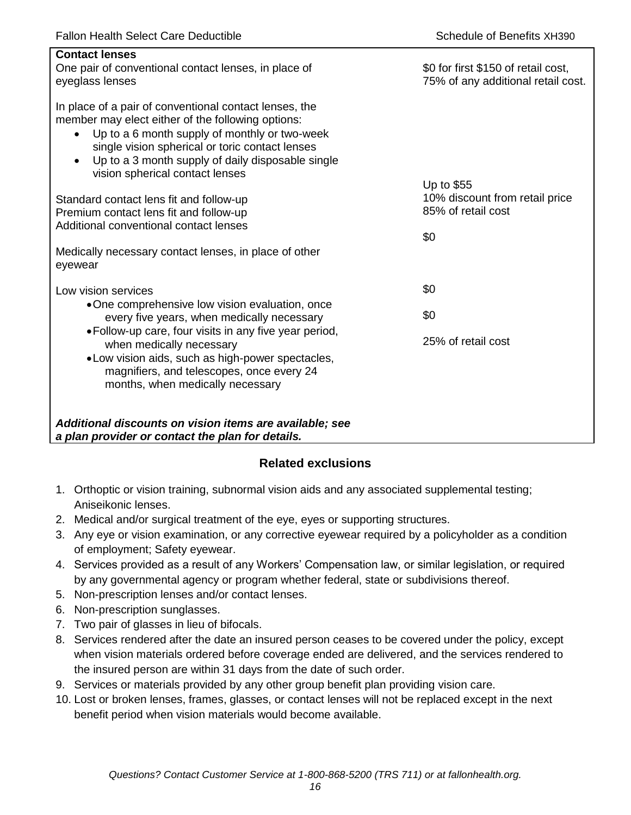| <b>Contact lenses</b><br>One pair of conventional contact lenses, in place of<br>eyeglass lenses                                                                                                                                                                                                                                  | \$0 for first \$150 of retail cost,<br>75% of any additional retail cost. |
|-----------------------------------------------------------------------------------------------------------------------------------------------------------------------------------------------------------------------------------------------------------------------------------------------------------------------------------|---------------------------------------------------------------------------|
| In place of a pair of conventional contact lenses, the<br>member may elect either of the following options:<br>Up to a 6 month supply of monthly or two-week<br>$\bullet$<br>single vision spherical or toric contact lenses<br>Up to a 3 month supply of daily disposable single<br>$\bullet$<br>vision spherical contact lenses |                                                                           |
| Standard contact lens fit and follow-up<br>Premium contact lens fit and follow-up<br>Additional conventional contact lenses                                                                                                                                                                                                       | Up to \$55<br>10% discount from retail price<br>85% of retail cost<br>\$0 |
| Medically necessary contact lenses, in place of other<br>eyewear                                                                                                                                                                                                                                                                  |                                                                           |
| Low vision services                                                                                                                                                                                                                                                                                                               | \$0                                                                       |
| •One comprehensive low vision evaluation, once<br>every five years, when medically necessary                                                                                                                                                                                                                                      | \$0                                                                       |
| • Follow-up care, four visits in any five year period,<br>when medically necessary<br>• Low vision aids, such as high-power spectacles,<br>magnifiers, and telescopes, once every 24<br>months, when medically necessary                                                                                                          | 25% of retail cost                                                        |
| Additional discounts on vision items are available; see<br>a plan provider or contact the plan for details.                                                                                                                                                                                                                       |                                                                           |

## **Related exclusions**

- 1. Orthoptic or vision training, subnormal vision aids and any associated supplemental testing; Aniseikonic lenses.
- 2. Medical and/or surgical treatment of the eye, eyes or supporting structures.
- 3. Any eye or vision examination, or any corrective eyewear required by a policyholder as a condition of employment; Safety eyewear.
- 4. Services provided as a result of any Workers' Compensation law, or similar legislation, or required by any governmental agency or program whether federal, state or subdivisions thereof.
- 5. Non-prescription lenses and/or contact lenses.
- 6. Non-prescription sunglasses.
- 7. Two pair of glasses in lieu of bifocals.
- 8. Services rendered after the date an insured person ceases to be covered under the policy, except when vision materials ordered before coverage ended are delivered, and the services rendered to the insured person are within 31 days from the date of such order.
- 9. Services or materials provided by any other group benefit plan providing vision care.
- 10. Lost or broken lenses, frames, glasses, or contact lenses will not be replaced except in the next benefit period when vision materials would become available.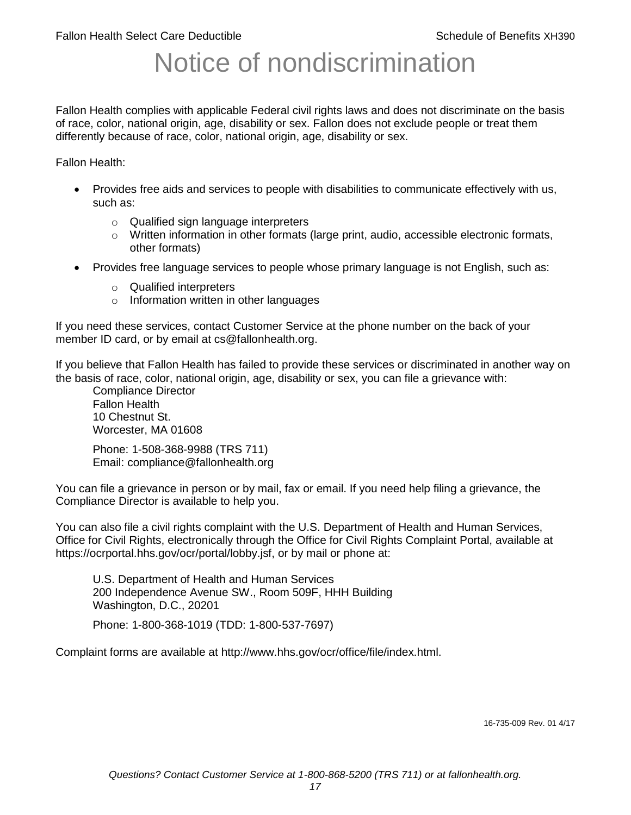# Notice of nondiscrimination

Fallon Health complies with applicable Federal civil rights laws and does not discriminate on the basis of race, color, national origin, age, disability or sex. Fallon does not exclude people or treat them differently because of race, color, national origin, age, disability or sex.

Fallon Health:

- Provides free aids and services to people with disabilities to communicate effectively with us, such as:
	- o Qualified sign language interpreters
	- $\circ$  Written information in other formats (large print, audio, accessible electronic formats, other formats)
- Provides free language services to people whose primary language is not English, such as:
	- o Qualified interpreters
	- o Information written in other languages

If you need these services, contact Customer Service at the phone number on the back of your member ID card, or by email at cs@fallonhealth.org.

If you believe that Fallon Health has failed to provide these services or discriminated in another way on the basis of race, color, national origin, age, disability or sex, you can file a grievance with:

Compliance Director Fallon Health 10 Chestnut St. Worcester, MA 01608

Phone: 1-508-368-9988 (TRS 711) Email: compliance@fallonhealth.org

You can file a grievance in person or by mail, fax or email. If you need help filing a grievance, the Compliance Director is available to help you.

You can also file a civil rights complaint with the U.S. Department of Health and Human Services, Office for Civil Rights, electronically through the Office for Civil Rights Complaint Portal, available at https://ocrportal.hhs.gov/ocr/portal/lobby.jsf, or by mail or phone at:

U.S. Department of Health and Human Services 200 Independence Avenue SW., Room 509F, HHH Building Washington, D.C., 20201

Phone: 1-800-368-1019 (TDD: 1-800-537-7697)

Complaint forms are available at http://www.hhs.gov/ocr/office/file/index.html.

16-735-009 Rev. 01 4/17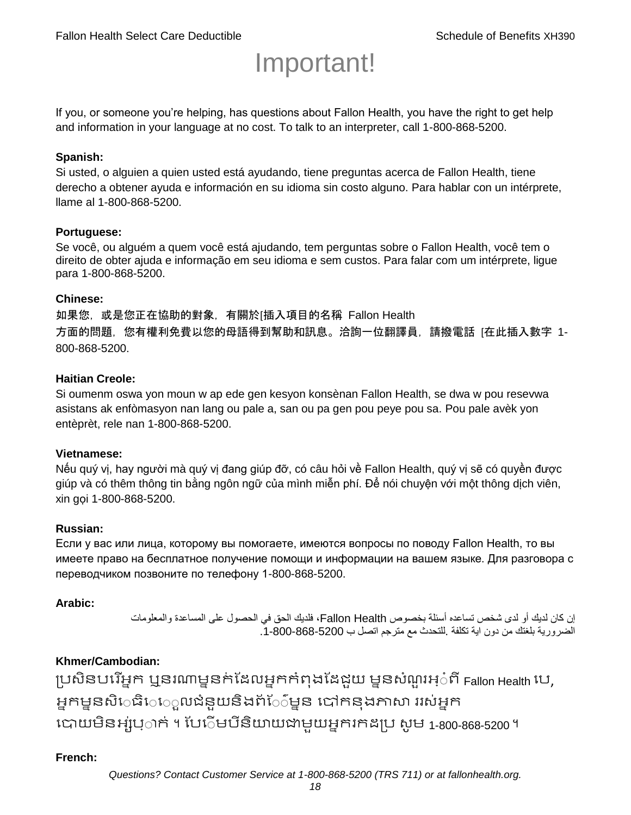# Important!

If you, or someone you're helping, has questions about Fallon Health, you have the right to get help and information in your language at no cost. To talk to an interpreter, call 1-800-868-5200.

### **Spanish:**

Si usted, o alguien a quien usted está ayudando, tiene preguntas acerca de Fallon Health, tiene derecho a obtener ayuda e información en su idioma sin costo alguno. Para hablar con un intérprete, llame al 1-800-868-5200.

### **Portuguese:**

Se você, ou alguém a quem você está ajudando, tem perguntas sobre o Fallon Health, você tem o direito de obter ajuda e informação em seu idioma e sem custos. Para falar com um intérprete, ligue para 1-800-868-5200.

### **Chinese:**

如果您,或是您正在協助的對象,有關於[插入項目的名稱 Fallon Health 方面的問題, 您有權利免費以您的母語得到幫助和訊息。洽詢一位翻譯員, 請撥電話 [在此插入數字 1-800-868-5200.

### **Haitian Creole:**

Si oumenm oswa yon moun w ap ede gen kesyon konsènan Fallon Health, se dwa w pou resevwa asistans ak enfòmasyon nan lang ou pale a, san ou pa gen pou peye pou sa. Pou pale avèk yon entèprèt, rele nan 1-800-868-5200.

### **Vietnamese:**

Nếu quý vị, hay người mà quý vị đang giúp đỡ, có câu hỏi về Fallon Health, quý vị sẽ có quyền được giúp và có thêm thông tin bằng ngôn ngữ của mình miễn phí. Để nói chuyện với một thông dịch viên, xin gọi 1-800-868-5200.

### **Russian:**

Если у вас или лица, которому вы помогаете, имеются вопросы по поводу Fallon Health, то вы имеете право на бесплатное получение помощи и информации на вашем языке. Для разговора с переводчиком позвоните по телефону 1-800-868-5200.

### **Arabic:**

إن كان لديك أو لدى شخص تساعده أسئلة بخصوص Health Fallon، فلديك الحق في الحصول على المساعدة والمعلومات الضرورية بلغتك من دون اية تكلفة .للتحدث مع مترجم اتصل ب .1-800-868-5200

### **Khmer/Cambodian:**

ប្រសិនបរើអ្នក ឬនរណាម្ននក់ដែលអ្នកកំពុងដែជយ ម្ននសំណួរអ្៎ពី Fallon Health រប, អ្នកម្ននសិេធិេេ្លលជំនួយនិងព័ែ៌ម្នន បៅកនុងភាសា ររស់អ្នក រោយម្ិនអ្ស់រ្ំ ក់ ។ ដររំម្ រនី ិយាយជាម្ួយអ្នក កែប្រ សូ ម្ 1-800-868-5200 ។

### **French:**